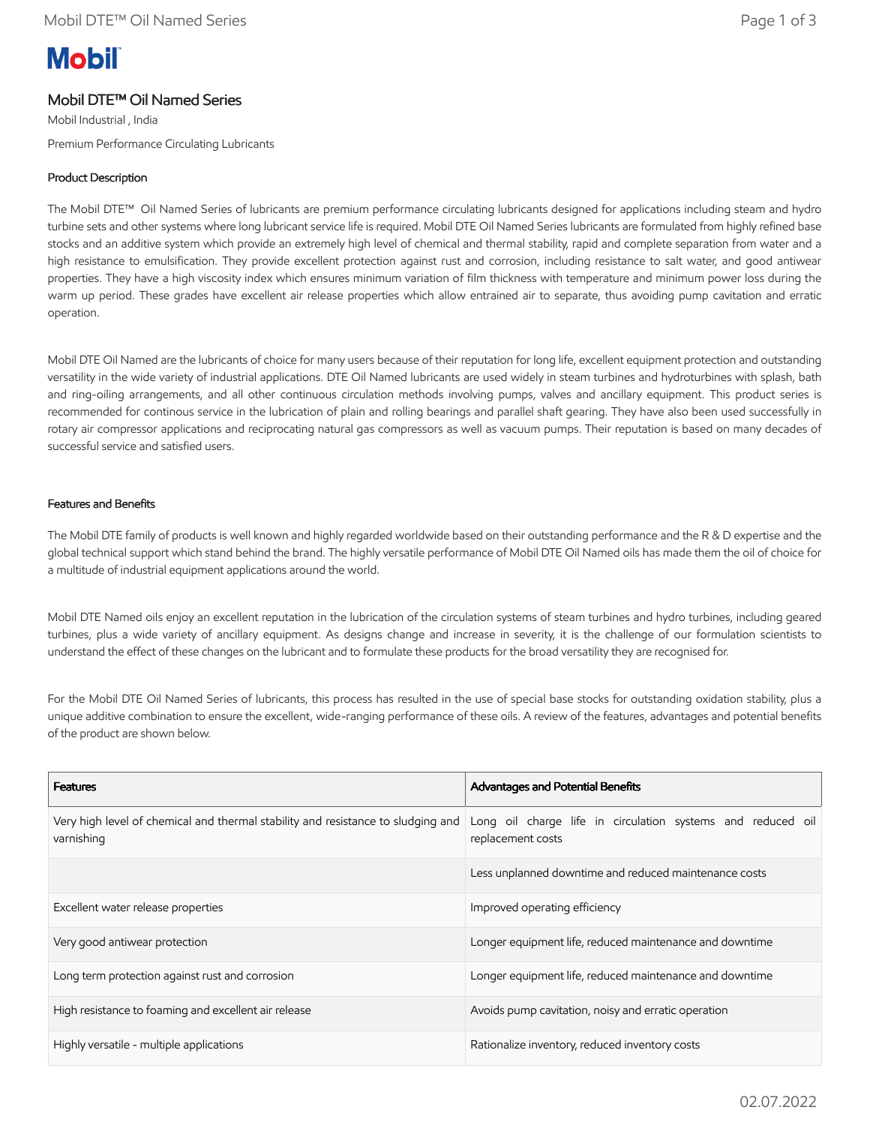# **Mobil**

## Mobil DTE™ Oil Named Series

Mobil Industrial , India Premium Performance Circulating Lubricants

### Product Description

The Mobil DTE™ Oil Named Series of lubricants are premium performance circulating lubricants designed for applications including steam and hydro turbine sets and other systems where long lubricant service life is required. Mobil DTE Oil Named Series lubricants are formulated from highly refined base stocks and an additive system which provide an extremely high level of chemical and thermal stability, rapid and complete separation from water and a high resistance to emulsification. They provide excellent protection against rust and corrosion, including resistance to salt water, and good antiwear properties. They have a high viscosity index which ensures minimum variation of film thickness with temperature and minimum power loss during the warm up period. These grades have excellent air release properties which allow entrained air to separate, thus avoiding pump cavitation and erratic operation.

Mobil DTE Oil Named are the lubricants of choice for many users because of their reputation for long life, excellent equipment protection and outstanding versatility in the wide variety of industrial applications. DTE Oil Named lubricants are used widely in steam turbines and hydroturbines with splash, bath and ring-oiling arrangements, and all other continuous circulation methods involving pumps, valves and ancillary equipment. This product series is recommended for continous service in the lubrication of plain and rolling bearings and parallel shaft gearing. They have also been used successfully in rotary air compressor applications and reciprocating natural gas compressors as well as vacuum pumps. Their reputation is based on many decades of successful service and satisfied users.

#### Features and Benefits

The Mobil DTE family of products is well known and highly regarded worldwide based on their outstanding performance and the R & D expertise and the global technical support which stand behind the brand. The highly versatile performance of Mobil DTE Oil Named oils has made them the oil of choice for a multitude of industrial equipment applications around the world.

Mobil DTE Named oils enjoy an excellent reputation in the lubrication of the circulation systems of steam turbines and hydro turbines, including geared turbines, plus a wide variety of ancillary equipment. As designs change and increase in severity, it is the challenge of our formulation scientists to understand the effect of these changes on the lubricant and to formulate these products for the broad versatility they are recognised for.

For the Mobil DTE Oil Named Series of lubricants, this process has resulted in the use of special base stocks for outstanding oxidation stability, plus a unique additive combination to ensure the excellent, wide-ranging performance of these oils. A review of the features, advantages and potential benefits of the product are shown below.

| <b>Features</b>                                                                                | Advantages and Potential Benefits                                                |  |
|------------------------------------------------------------------------------------------------|----------------------------------------------------------------------------------|--|
| Very high level of chemical and thermal stability and resistance to sludging and<br>varnishing | Long oil charge life in circulation systems and reduced oil<br>replacement costs |  |
|                                                                                                | Less unplanned downtime and reduced maintenance costs                            |  |
| Excellent water release properties                                                             | Improved operating efficiency                                                    |  |
| Very good antiwear protection                                                                  | Longer equipment life, reduced maintenance and downtime                          |  |
| Long term protection against rust and corrosion                                                | Longer equipment life, reduced maintenance and downtime                          |  |
| High resistance to foaming and excellent air release                                           | Avoids pump cavitation, noisy and erratic operation                              |  |
| Highly versatile - multiple applications                                                       | Rationalize inventory, reduced inventory costs                                   |  |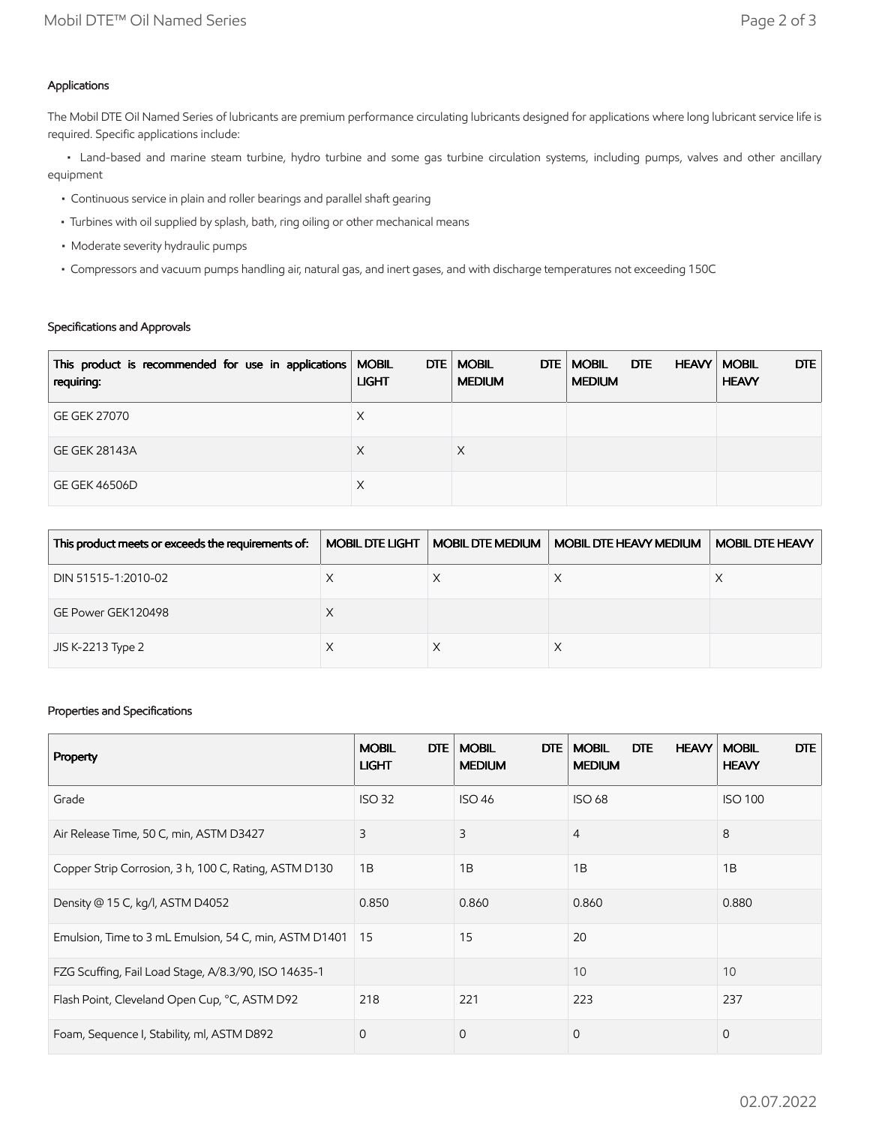#### Applications

The Mobil DTE Oil Named Series of lubricants are premium performance circulating lubricants designed for applications where long lubricant service life is required. Specific applications include:

 • Land-based and marine steam turbine, hydro turbine and some gas turbine circulation systems, including pumps, valves and other ancillary equipment

- Continuous service in plain and roller bearings and parallel shaft gearing
- Turbines with oil supplied by splash, bath, ring oiling or other mechanical means
- Moderate severity hydraulic pumps
- Compressors and vacuum pumps handling air, natural gas, and inert gases, and with discharge temperatures not exceeding 150C

#### Specifications and Approvals

| This product is recommended for use in applications   MOBIL<br>requiring: | <b>LIGHT</b> | DTE   MOBIL<br>DTE<br><b>MEDIUM</b> | <b>MOBIL</b><br><b>MEDIUM</b> | <b>DTE</b><br><b>HEAVY</b> | DTE  <br><b>MOBIL</b><br><b>HEAVY</b> |
|---------------------------------------------------------------------------|--------------|-------------------------------------|-------------------------------|----------------------------|---------------------------------------|
| <b>GE GEK 27070</b>                                                       | Х            |                                     |                               |                            |                                       |
| <b>GE GEK 28143A</b>                                                      | X            | X                                   |                               |                            |                                       |
| GE GEK 46506D                                                             | Х            |                                     |                               |                            |                                       |

| This product meets or exceeds the requirements of: | <b>MOBIL DTE LIGHT</b> | <b>MOBIL DTE MEDIUM</b> | MOBIL DTE HEAVY MEDIUM | MOBIL DTE HEAVY |
|----------------------------------------------------|------------------------|-------------------------|------------------------|-----------------|
| DIN 51515-1:2010-02                                |                        |                         |                        |                 |
| GE Power GEK120498                                 |                        |                         |                        |                 |
| JIS K-2213 Type 2                                  |                        |                         |                        |                 |

### Properties and Specifications

| Property                                               | <b>DTE</b><br><b>MOBIL</b><br><b>LIGHT</b> | <b>MOBIL</b><br><b>DTE</b><br><b>MEDIUM</b> | <b>HEAVY</b><br><b>MOBIL</b><br><b>DTE</b><br><b>MEDIUM</b> | DTE<br><b>MOBIL</b><br><b>HEAVY</b> |
|--------------------------------------------------------|--------------------------------------------|---------------------------------------------|-------------------------------------------------------------|-------------------------------------|
| Grade                                                  | <b>ISO 32</b>                              | <b>ISO 46</b>                               | <b>ISO 68</b>                                               | <b>ISO 100</b>                      |
| Air Release Time, 50 C, min, ASTM D3427                | 3                                          | 3                                           | $\overline{4}$                                              | 8                                   |
| Copper Strip Corrosion, 3 h, 100 C, Rating, ASTM D130  | 1B                                         | 1B                                          | 1B                                                          | 1B                                  |
| Density @ 15 C, kg/l, ASTM D4052                       | 0.850                                      | 0.860                                       | 0.860                                                       | 0.880                               |
| Emulsion, Time to 3 mL Emulsion, 54 C, min, ASTM D1401 | 15                                         | 15                                          | 20                                                          |                                     |
| FZG Scuffing, Fail Load Stage, A/8.3/90, ISO 14635-1   |                                            |                                             | 10                                                          | 10                                  |
| Flash Point, Cleveland Open Cup, °C, ASTM D92          | 218                                        | 221                                         | 223                                                         | 237                                 |
| Foam, Sequence I, Stability, ml, ASTM D892             | $\mathbf{0}$                               | $\mathbf{0}$                                | $\mathbf 0$                                                 | 0                                   |